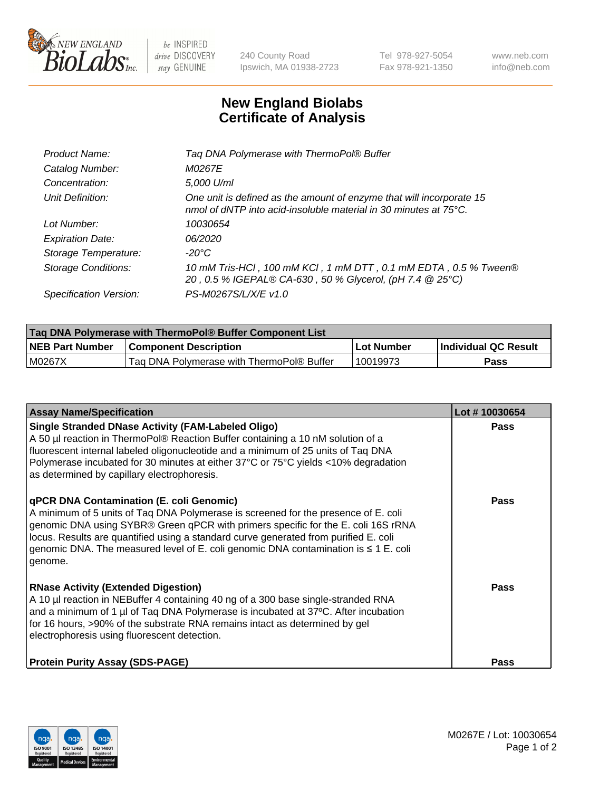

 $be$  INSPIRED drive DISCOVERY stay GENUINE

240 County Road Ipswich, MA 01938-2723 Tel 978-927-5054 Fax 978-921-1350 www.neb.com info@neb.com

## **New England Biolabs Certificate of Analysis**

| Tag DNA Polymerase with ThermoPol® Buffer                                                                                                |
|------------------------------------------------------------------------------------------------------------------------------------------|
| M0267E                                                                                                                                   |
| 5,000 U/ml                                                                                                                               |
| One unit is defined as the amount of enzyme that will incorporate 15<br>nmol of dNTP into acid-insoluble material in 30 minutes at 75°C. |
| 10030654                                                                                                                                 |
| 06/2020                                                                                                                                  |
| $-20^{\circ}$ C                                                                                                                          |
| 10 mM Tris-HCl, 100 mM KCl, 1 mM DTT, 0.1 mM EDTA, 0.5 % Tween®<br>20, 0.5 % IGEPAL® CA-630, 50 % Glycerol, (pH 7.4 @ 25°C)              |
| PS-M0267S/L/X/E v1.0                                                                                                                     |
|                                                                                                                                          |

| <b>Tag DNA Polymerase with ThermoPol® Buffer Component List</b> |                                           |            |                      |  |  |
|-----------------------------------------------------------------|-------------------------------------------|------------|----------------------|--|--|
| <b>NEB Part Number</b>                                          | <b>Component Description</b>              | Lot Number | Individual QC Result |  |  |
| M0267X                                                          | Tag DNA Polymerase with ThermoPol® Buffer | 10019973   | Pass                 |  |  |

| <b>Assay Name/Specification</b>                                                                                                                                                                                                                                                                                                                                                                                    | Lot #10030654 |
|--------------------------------------------------------------------------------------------------------------------------------------------------------------------------------------------------------------------------------------------------------------------------------------------------------------------------------------------------------------------------------------------------------------------|---------------|
| <b>Single Stranded DNase Activity (FAM-Labeled Oligo)</b><br>A 50 µl reaction in ThermoPol® Reaction Buffer containing a 10 nM solution of a<br>fluorescent internal labeled oligonucleotide and a minimum of 25 units of Taq DNA<br>Polymerase incubated for 30 minutes at either 37°C or 75°C yields <10% degradation<br>as determined by capillary electrophoresis.                                             | <b>Pass</b>   |
| qPCR DNA Contamination (E. coli Genomic)<br>A minimum of 5 units of Taq DNA Polymerase is screened for the presence of E. coli<br>genomic DNA using SYBR® Green qPCR with primers specific for the E. coli 16S rRNA<br>locus. Results are quantified using a standard curve generated from purified E. coli<br>genomic DNA. The measured level of E. coli genomic DNA contamination is $\leq 1$ E. coli<br>genome. | <b>Pass</b>   |
| <b>RNase Activity (Extended Digestion)</b><br>A 10 µl reaction in NEBuffer 4 containing 40 ng of a 300 base single-stranded RNA<br>and a minimum of 1 µl of Taq DNA Polymerase is incubated at 37°C. After incubation<br>for 16 hours, >90% of the substrate RNA remains intact as determined by gel<br>electrophoresis using fluorescent detection.                                                               | <b>Pass</b>   |
| <b>Protein Purity Assay (SDS-PAGE)</b>                                                                                                                                                                                                                                                                                                                                                                             | <b>Pass</b>   |